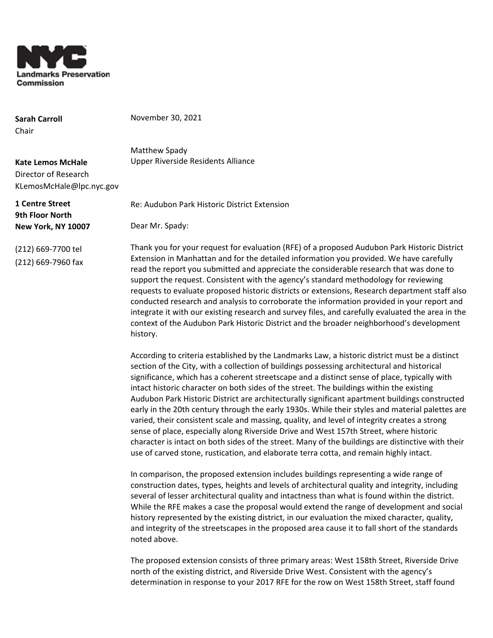

**Sarah Carroll** Chair

November 30, 2021

Matthew Spady Upper Riverside Residents Alliance

Re: Audubon Park Historic District Extension

**Kate Lemos McHale** Director of Research KLemosMcHale@lpc.nyc.gov

**1 Centre Street 9th Floor North New York, NY 10007**

Dear Mr. Spady:

(212) 669-7700 tel (212) 669-7960 fax Thank you for your request for evaluation (RFE) of a proposed Audubon Park Historic District Extension in Manhattan and for the detailed information you provided. We have carefully read the report you submitted and appreciate the considerable research that was done to support the request. Consistent with the agency's standard methodology for reviewing requests to evaluate proposed historic districts or extensions, Research department staff also conducted research and analysis to corroborate the information provided in your report and integrate it with our existing research and survey files, and carefully evaluated the area in the context of the Audubon Park Historic District and the broader neighborhood's development history.

According to criteria established by the Landmarks Law, a historic district must be a distinct section of the City, with a collection of buildings possessing architectural and historical significance, which has a coherent streetscape and a distinct sense of place, typically with intact historic character on both sides of the street. The buildings within the existing Audubon Park Historic District are architecturally significant apartment buildings constructed early in the 20th century through the early 1930s. While their styles and material palettes are varied, their consistent scale and massing, quality, and level of integrity creates a strong sense of place, especially along Riverside Drive and West 157th Street, where historic character is intact on both sides of the street. Many of the buildings are distinctive with their use of carved stone, rustication, and elaborate terra cotta, and remain highly intact.

In comparison, the proposed extension includes buildings representing a wide range of construction dates, types, heights and levels of architectural quality and integrity, including several of lesser architectural quality and intactness than what is found within the district. While the RFE makes a case the proposal would extend the range of development and social history represented by the existing district, in our evaluation the mixed character, quality, and integrity of the streetscapes in the proposed area cause it to fall short of the standards noted above.

The proposed extension consists of three primary areas: West 158th Street, Riverside Drive north of the existing district, and Riverside Drive West. Consistent with the agency's determination in response to your 2017 RFE for the row on West 158th Street, staff found